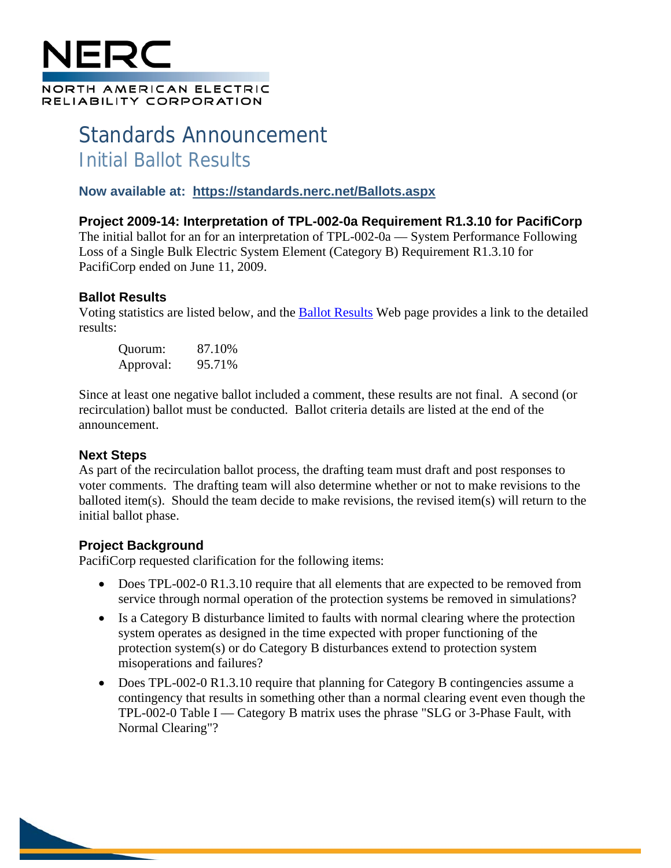# NORTH AMERICAN ELECTRIC RELIABILITY CORPORATION

## Standards Announcement Initial Ballot Results

#### **Now available at: <https://standards.nerc.net/Ballots.aspx>**

**Project 2009-14: Interpretation of TPL-002-0a Requirement R1.3.10 for PacifiCorp** The initial ballot for an for an interpretation of TPL-002-0a — System Performance Following Loss of a Single Bulk Electric System Element (Category B) Requirement R1.3.10 for PacifiCorp ended on June 11, 2009.

### **Ballot Results**

Voting statistics are listed below, and the [Ballot Results](https://standards.nerc.net/Ballots.aspx) Web page provides a link to the detailed results:

Quorum: 87.10% Approval: 95.71%

Since at least one negative ballot included a comment, these results are not final. A second (or recirculation) ballot must be conducted. Ballot criteria details are listed at the end of the announcement.

### **Next Steps**

As part of the recirculation ballot process, the drafting team must draft and post responses to voter comments. The drafting team will also determine whether or not to make revisions to the balloted item(s). Should the team decide to make revisions, the revised item(s) will return to the initial ballot phase.

### **Project Background**

PacifiCorp requested clarification for the following items:

- Does TPL-002-0 R1.3.10 require that all elements that are expected to be removed from service through normal operation of the protection systems be removed in simulations?
- Is a Category B disturbance limited to faults with normal clearing where the protection system operates as designed in the time expected with proper functioning of the protection system(s) or do Category B disturbances extend to protection system misoperations and failures?
- Does TPL-002-0 R1.3.10 require that planning for Category B contingencies assume a contingency that results in something other than a normal clearing event even though the TPL-002-0 Table I — Category B matrix uses the phrase "SLG or 3-Phase Fault, with Normal Clearing"?